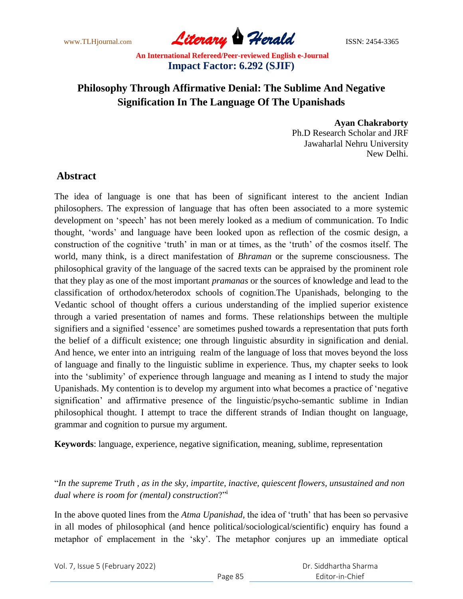www.TLHjournal.com **Literary Herald Herald** ISSN: 2454-3365

# **Philosophy Through Affirmative Denial: The Sublime And Negative Signification In The Language Of The Upanishads**

**Ayan Chakraborty** Ph.D Research Scholar and JRF Jawaharlal Nehru University New Delhi.

# **Abstract**

The idea of language is one that has been of significant interest to the ancient Indian philosophers. The expression of language that has often been associated to a more systemic development on "speech" has not been merely looked as a medium of communication. To Indic thought, "words" and language have been looked upon as reflection of the cosmic design, a construction of the cognitive 'truth' in man or at times, as the 'truth' of the cosmos itself. The world, many think, is a direct manifestation of *Bhraman* or the supreme consciousness. The philosophical gravity of the language of the sacred texts can be appraised by the prominent role that they play as one of the most important *pramanas* or the sources of knowledge and lead to the classification of orthodox/heterodox schools of cognition.The Upanishads, belonging to the Vedantic school of thought offers a curious understanding of the implied superior existence through a varied presentation of names and forms. These relationships between the multiple signifiers and a signified "essence" are sometimes pushed towards a representation that puts forth the belief of a difficult existence; one through linguistic absurdity in signification and denial. And hence, we enter into an intriguing realm of the language of loss that moves beyond the loss of language and finally to the linguistic sublime in experience. Thus, my chapter seeks to look into the "sublimity" of experience through language and meaning as I intend to study the major Upanishads. My contention is to develop my argument into what becomes a practice of "negative signification" and affirmative presence of the linguistic/psycho-semantic sublime in Indian philosophical thought. I attempt to trace the different strands of Indian thought on language, grammar and cognition to pursue my argument.

**Keywords**: language, experience, negative signification, meaning, sublime, representation

"*In the supreme Truth , as in the sky, impartite, inactive, quiescent flowers, unsustained and non dual where is room for (mental) construction*?"<sup>i</sup>

In the above quoted lines from the *Atma Upanishad*, the idea of 'truth' that has been so pervasive in all modes of philosophical (and hence political/sociological/scientific) enquiry has found a metaphor of emplacement in the 'sky'. The metaphor conjures up an immediate optical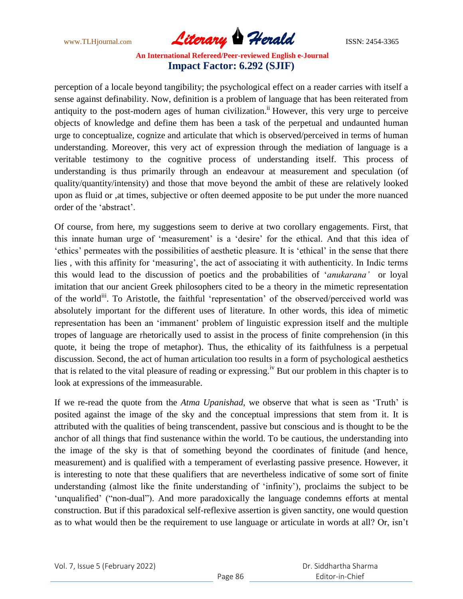www.TLHjournal.com **Literary Herald Herald** ISSN: 2454-3365

perception of a locale beyond tangibility; the psychological effect on a reader carries with itself a sense against definability. Now, definition is a problem of language that has been reiterated from antiquity to the post-modern ages of human civilization.<sup>ii</sup> However, this very urge to perceive objects of knowledge and define them has been a task of the perpetual and undaunted human urge to conceptualize, cognize and articulate that which is observed/perceived in terms of human understanding. Moreover, this very act of expression through the mediation of language is a veritable testimony to the cognitive process of understanding itself. This process of understanding is thus primarily through an endeavour at measurement and speculation (of quality/quantity/intensity) and those that move beyond the ambit of these are relatively looked upon as fluid or ,at times, subjective or often deemed apposite to be put under the more nuanced order of the "abstract".

Of course, from here, my suggestions seem to derive at two corollary engagements. First, that this innate human urge of 'measurement' is a 'desire' for the ethical. And that this idea of "ethics" permeates with the possibilities of aesthetic pleasure. It is "ethical" in the sense that there lies, with this affinity for 'measuring', the act of associating it with authenticity. In Indic terms this would lead to the discussion of poetics and the probabilities of "*anukarana'* or loyal imitation that our ancient Greek philosophers cited to be a theory in the mimetic representation of the world<sup>ii</sup>. To Aristotle, the faithful 'representation' of the observed/perceived world was absolutely important for the different uses of literature. In other words, this idea of mimetic representation has been an "immanent" problem of linguistic expression itself and the multiple tropes of language are rhetorically used to assist in the process of finite comprehension (in this quote, it being the trope of metaphor). Thus, the ethicality of its faithfulness is a perpetual discussion. Second, the act of human articulation too results in a form of psychological aesthetics that is related to the vital pleasure of reading or expressing.<sup>iv</sup> But our problem in this chapter is to look at expressions of the immeasurable.

If we re-read the quote from the *Atma Upanishad*, we observe that what is seen as 'Truth' is posited against the image of the sky and the conceptual impressions that stem from it. It is attributed with the qualities of being transcendent, passive but conscious and is thought to be the anchor of all things that find sustenance within the world. To be cautious, the understanding into the image of the sky is that of something beyond the coordinates of finitude (and hence, measurement) and is qualified with a temperament of everlasting passive presence. However, it is interesting to note that these qualifiers that are nevertheless indicative of some sort of finite understanding (almost like the finite understanding of "infinity"), proclaims the subject to be 'unqualified' ("non-dual"). And more paradoxically the language condemns efforts at mental construction. But if this paradoxical self-reflexive assertion is given sanctity, one would question as to what would then be the requirement to use language or articulate in words at all? Or, isn"t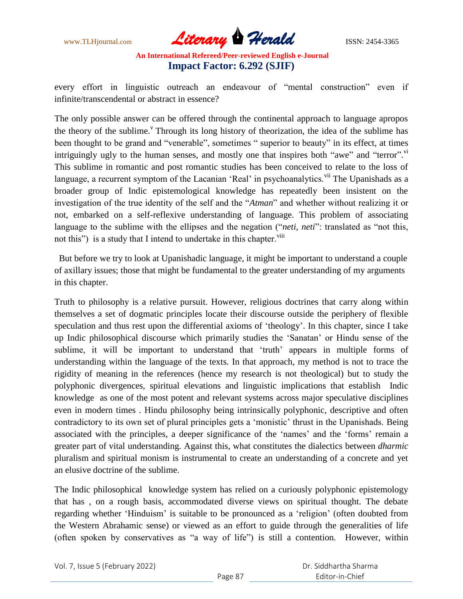

every effort in linguistic outreach an endeavour of "mental construction" even if infinite/transcendental or abstract in essence?

The only possible answer can be offered through the continental approach to language apropos the theory of the sublime.<sup> $v$ </sup> Through its long history of theorization, the idea of the sublime has been thought to be grand and "venerable", sometimes " superior to beauty" in its effect, at times intriguingly ugly to the human senses, and mostly one that inspires both "awe" and "terror".<sup>vi</sup> This sublime in romantic and post romantic studies has been conceived to relate to the loss of language, a recurrent symptom of the Lacanian 'Real' in psychoanalytics.<sup>vii</sup> The Upanishads as a broader group of Indic epistemological knowledge has repeatedly been insistent on the investigation of the true identity of the self and the "*Atman*" and whether without realizing it or not, embarked on a self-reflexive understanding of language. This problem of associating language to the sublime with the ellipses and the negation ("*neti, neti*": translated as "not this, not this") is a study that I intend to undertake in this chapter.<sup>viii</sup>

 But before we try to look at Upanishadic language, it might be important to understand a couple of axillary issues; those that might be fundamental to the greater understanding of my arguments in this chapter.

Truth to philosophy is a relative pursuit. However, religious doctrines that carry along within themselves a set of dogmatic principles locate their discourse outside the periphery of flexible speculation and thus rest upon the differential axioms of "theology". In this chapter, since I take up Indic philosophical discourse which primarily studies the "Sanatan" or Hindu sense of the sublime, it will be important to understand that 'truth' appears in multiple forms of understanding within the language of the texts. In that approach, my method is not to trace the rigidity of meaning in the references (hence my research is not theological) but to study the polyphonic divergences, spiritual elevations and linguistic implications that establish Indic knowledge as one of the most potent and relevant systems across major speculative disciplines even in modern times . Hindu philosophy being intrinsically polyphonic, descriptive and often contradictory to its own set of plural principles gets a "monistic" thrust in the Upanishads. Being associated with the principles, a deeper significance of the 'names' and the 'forms' remain a greater part of vital understanding. Against this, what constitutes the dialectics between *dharmic* pluralism and spiritual monism is instrumental to create an understanding of a concrete and yet an elusive doctrine of the sublime.

The Indic philosophical knowledge system has relied on a curiously polyphonic epistemology that has , on a rough basis, accommodated diverse views on spiritual thought. The debate regarding whether "Hinduism" is suitable to be pronounced as a "religion" (often doubted from the Western Abrahamic sense) or viewed as an effort to guide through the generalities of life (often spoken by conservatives as "a way of life") is still a contention. However, within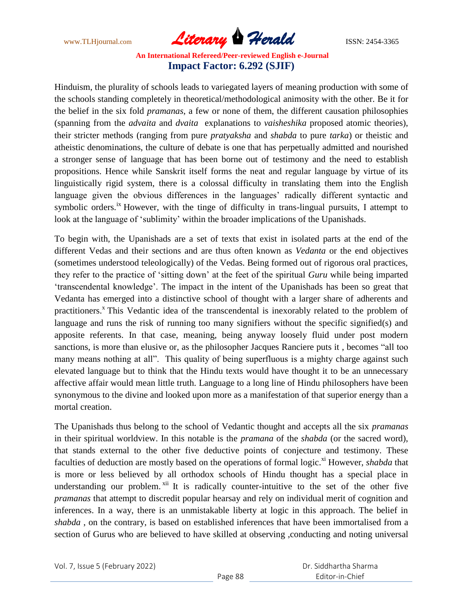www.TLHjournal.com *Literary Herald*ISSN: 2454-3365

Hinduism, the plurality of schools leads to variegated layers of meaning production with some of the schools standing completely in theoretical/methodological animosity with the other. Be it for the belief in the six fold *pramanas*, a few or none of them, the different causation philosophies (spanning from the *advaita* and *dvaita* explanations to *vaisheshika* proposed atomic theories), their stricter methods (ranging from pure *pratyaksha* and *shabda* to pure *tarka*) or theistic and atheistic denominations, the culture of debate is one that has perpetually admitted and nourished a stronger sense of language that has been borne out of testimony and the need to establish propositions. Hence while Sanskrit itself forms the neat and regular language by virtue of its linguistically rigid system, there is a colossal difficulty in translating them into the English language given the obvious differences in the languages' radically different syntactic and symbolic orders.<sup>ix</sup> However, with the tinge of difficulty in trans-lingual pursuits, I attempt to look at the language of "sublimity" within the broader implications of the Upanishads.

To begin with, the Upanishads are a set of texts that exist in isolated parts at the end of the different Vedas and their sections and are thus often known as *Vedanta* or the end objectives (sometimes understood teleologically) of the Vedas. Being formed out of rigorous oral practices, they refer to the practice of "sitting down" at the feet of the spiritual *Guru* while being imparted "transcendental knowledge". The impact in the intent of the Upanishads has been so great that Vedanta has emerged into a distinctive school of thought with a larger share of adherents and practitioners.<sup>x</sup> This Vedantic idea of the transcendental is inexorably related to the problem of language and runs the risk of running too many signifiers without the specific signified(s) and apposite referents. In that case, meaning, being anyway loosely fluid under post modern sanctions, is more than elusive or, as the philosopher Jacques Ranciere puts it , becomes "all too many means nothing at all". This quality of being superfluous is a mighty charge against such elevated language but to think that the Hindu texts would have thought it to be an unnecessary affective affair would mean little truth. Language to a long line of Hindu philosophers have been synonymous to the divine and looked upon more as a manifestation of that superior energy than a mortal creation.

The Upanishads thus belong to the school of Vedantic thought and accepts all the six *pramanas* in their spiritual worldview. In this notable is the *pramana* of the *shabda* (or the sacred word), that stands external to the other five deductive points of conjecture and testimony. These faculties of deduction are mostly based on the operations of formal logic.<sup>xi</sup> However, *shabda* that is more or less believed by all orthodox schools of Hindu thought has a special place in understanding our problem.  $xii$  It is radically counter-intuitive to the set of the other five *pramanas* that attempt to discredit popular hearsay and rely on individual merit of cognition and inferences. In a way, there is an unmistakable liberty at logic in this approach. The belief in *shabda* , on the contrary, is based on established inferences that have been immortalised from a section of Gurus who are believed to have skilled at observing ,conducting and noting universal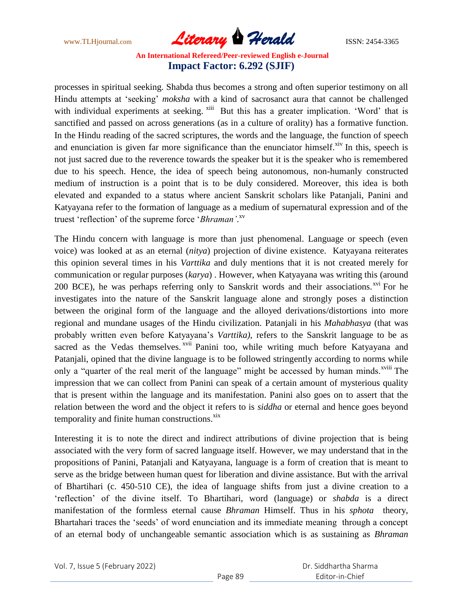www.TLHjournal.com *Literary Herald*ISSN: 2454-3365

processes in spiritual seeking. Shabda thus becomes a strong and often superior testimony on all Hindu attempts at 'seeking' *moksha* with a kind of sacrosanct aura that cannot be challenged with individual experiments at seeking. <sup>xiii</sup> But this has a greater implication. 'Word' that is sanctified and passed on across generations (as in a culture of orality) has a formative function. In the Hindu reading of the sacred scriptures, the words and the language, the function of speech and enunciation is given far more significance than the enunciator himself. $^{xiv}$  In this, speech is not just sacred due to the reverence towards the speaker but it is the speaker who is remembered due to his speech. Hence, the idea of speech being autonomous, non-humanly constructed medium of instruction is a point that is to be duly considered. Moreover, this idea is both elevated and expanded to a status where ancient Sanskrit scholars like Patanjali, Panini and Katyayana refer to the formation of language as a medium of supernatural expression and of the truest "reflection" of the supreme force "*Bhraman'*. xv

The Hindu concern with language is more than just phenomenal. Language or speech (even voice) was looked at as an eternal (*nitya*) projection of divine existence. Katyayana reiterates this opinion several times in his *Varttika* and duly mentions that it is not created merely for communication or regular purposes (*karya*) . However, when Katyayana was writing this (around 200 BCE), he was perhaps referring only to Sanskrit words and their associations.<sup> $xvi$ </sup> For he investigates into the nature of the Sanskrit language alone and strongly poses a distinction between the original form of the language and the alloyed derivations/distortions into more regional and mundane usages of the Hindu civilization. Patanjali in his *Mahabhasya* (that was probably written even before Katyayana"s *Varttika)*, refers to the Sanskrit language to be as sacred as the Vedas themselves.<sup>xvii</sup> Panini too, while writing much before Katyayana and Patanjali, opined that the divine language is to be followed stringently according to norms while only a "quarter of the real merit of the language" might be accessed by human minds.<sup>xviii</sup> The impression that we can collect from Panini can speak of a certain amount of mysterious quality that is present within the language and its manifestation. Panini also goes on to assert that the relation between the word and the object it refers to is *siddha* or eternal and hence goes beyond temporality and finite human constructions.<sup>xix</sup>

Interesting it is to note the direct and indirect attributions of divine projection that is being associated with the very form of sacred language itself. However, we may understand that in the propositions of Panini, Patanjali and Katyayana, language is a form of creation that is meant to serve as the bridge between human quest for liberation and divine assistance. But with the arrival of Bhartihari (c. 450-510 CE), the idea of language shifts from just a divine creation to a "reflection" of the divine itself. To Bhartihari, word (language) or *shabda* is a direct manifestation of the formless eternal cause *Bhraman* Himself. Thus in his *sphota* theory, Bhartahari traces the "seeds" of word enunciation and its immediate meaning through a concept of an eternal body of unchangeable semantic association which is as sustaining as *Bhraman*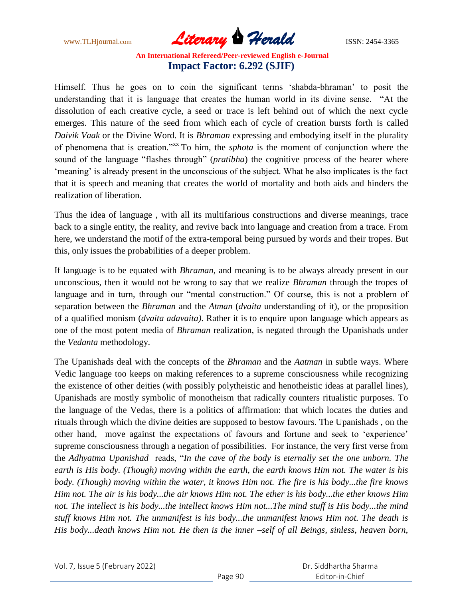www.TLHjournal.com **Literary Herald Herald** ISSN: 2454-3365

Himself. Thus he goes on to coin the significant terms "shabda-bhraman" to posit the understanding that it is language that creates the human world in its divine sense. "At the dissolution of each creative cycle, a seed or trace is left behind out of which the next cycle emerges. This nature of the seed from which each of cycle of creation bursts forth is called *Daivik Vaak* or the Divine Word. It is *Bhraman* expressing and embodying itself in the plurality of phenomena that is creation."xx To him, the *sphota* is the moment of conjunction where the sound of the language "flashes through" (*pratibha*) the cognitive process of the hearer where "meaning" is already present in the unconscious of the subject. What he also implicates is the fact that it is speech and meaning that creates the world of mortality and both aids and hinders the realization of liberation.

Thus the idea of language , with all its multifarious constructions and diverse meanings, trace back to a single entity, the reality, and revive back into language and creation from a trace. From here, we understand the motif of the extra-temporal being pursued by words and their tropes. But this, only issues the probabilities of a deeper problem.

If language is to be equated with *Bhraman*, and meaning is to be always already present in our unconscious, then it would not be wrong to say that we realize *Bhraman* through the tropes of language and in turn, through our "mental construction." Of course, this is not a problem of separation between the *Bhraman* and the *Atman* (*dvaita* understanding of it), or the proposition of a qualified monism (*dvaita adavaita)*. Rather it is to enquire upon language which appears as one of the most potent media of *Bhraman* realization, is negated through the Upanishads under the *Vedanta* methodology.

The Upanishads deal with the concepts of the *Bhraman* and the *Aatman* in subtle ways. Where Vedic language too keeps on making references to a supreme consciousness while recognizing the existence of other deities (with possibly polytheistic and henotheistic ideas at parallel lines), Upanishads are mostly symbolic of monotheism that radically counters ritualistic purposes. To the language of the Vedas, there is a politics of affirmation: that which locates the duties and rituals through which the divine deities are supposed to bestow favours. The Upanishads , on the other hand, move against the expectations of favours and fortune and seek to "experience" supreme consciousness through a negation of possibilities. For instance, the very first verse from the *Adhyatma Upanishad* reads, "*In the cave of the body is eternally set the one unborn. The earth is His body. (Though) moving within the earth, the earth knows Him not. The water is his body. (Though) moving within the water, it knows Him not. The fire is his body...the fire knows Him not. The air is his body...the air knows Him not. The ether is his body...the ether knows Him*  not. The intellect is his body...the intellect knows Him not...The mind stuff is His body...the mind *stuff knows Him not. The unmanifest is his body...the unmanifest knows Him not. The death is His body...death knows Him not. He then is the inner –self of all Beings, sinless, heaven born,*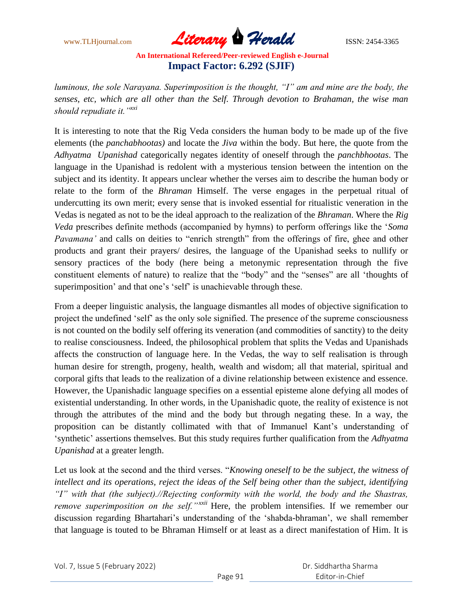www.TLHjournal.com *Literary Herald*ISSN: 2454-3365

*luminous, the sole Narayana. Superimposition is the thought, "I" am and mine are the body, the senses, etc, which are all other than the Self. Through devotion to Brahaman, the wise man should repudiate it.* "<sup>*xxi*</sup>

It is interesting to note that the Rig Veda considers the human body to be made up of the five elements (the *panchabhootas)* and locate the *Jiva* within the body. But here, the quote from the *Adhyatma Upanishad* categorically negates identity of oneself through the *panchbhootas*. The language in the Upanishad is redolent with a mysterious tension between the intention on the subject and its identity. It appears unclear whether the verses aim to describe the human body or relate to the form of the *Bhraman* Himself. The verse engages in the perpetual ritual of undercutting its own merit; every sense that is invoked essential for ritualistic veneration in the Vedas is negated as not to be the ideal approach to the realization of the *Bhraman*. Where the *Rig Veda* prescribes definite methods (accompanied by hymns) to perform offerings like the "*Soma Pavamana'* and calls on deities to "enrich strength" from the offerings of fire, ghee and other products and grant their prayers/ desires, the language of the Upanishad seeks to nullify or sensory practices of the body (here being a metonymic representation through the five constituent elements of nature) to realize that the "body" and the "senses" are all "thoughts of superimposition' and that one's 'self' is unachievable through these.

From a deeper linguistic analysis, the language dismantles all modes of objective signification to project the undefined "self" as the only sole signified. The presence of the supreme consciousness is not counted on the bodily self offering its veneration (and commodities of sanctity) to the deity to realise consciousness. Indeed, the philosophical problem that splits the Vedas and Upanishads affects the construction of language here. In the Vedas, the way to self realisation is through human desire for strength, progeny, health, wealth and wisdom; all that material, spiritual and corporal gifts that leads to the realization of a divine relationship between existence and essence. However, the Upanishadic language specifies on a essential episteme alone defying all modes of existential understanding. In other words, in the Upanishadic quote, the reality of existence is not through the attributes of the mind and the body but through negating these. In a way, the proposition can be distantly collimated with that of Immanuel Kant"s understanding of "synthetic" assertions themselves. But this study requires further qualification from the *Adhyatma Upanishad* at a greater length.

Let us look at the second and the third verses. "*Knowing oneself to be the subject, the witness of intellect and its operations, reject the ideas of the Self being other than the subject, identifying ―I‖ with that (the subject).//Rejecting conformity with the world, the body and the Shastras, remove superimposition on the self.*<sup>*nxxii*</sup> Here, the problem intensifies. If we remember our discussion regarding Bhartahari"s understanding of the "shabda-bhraman", we shall remember that language is touted to be Bhraman Himself or at least as a direct manifestation of Him. It is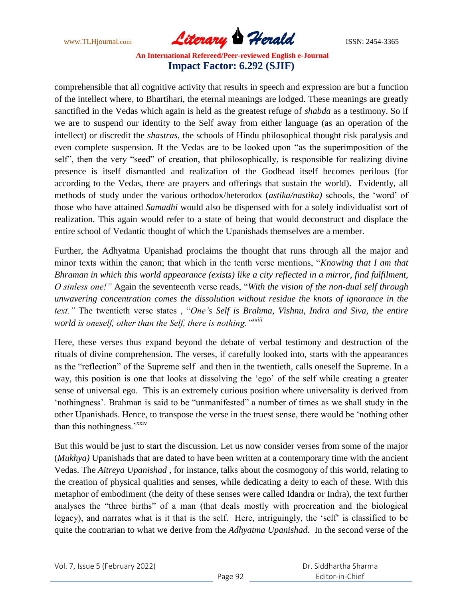www.TLHjournal.com **Literary Herald Herald** ISSN: 2454-3365

comprehensible that all cognitive activity that results in speech and expression are but a function of the intellect where, to Bhartihari, the eternal meanings are lodged. These meanings are greatly sanctified in the Vedas which again is held as the greatest refuge of *shabda* as a testimony. So if we are to suspend our identity to the Self away from either language (as an operation of the intellect) or discredit the *shastras*, the schools of Hindu philosophical thought risk paralysis and even complete suspension. If the Vedas are to be looked upon "as the superimposition of the self", then the very "seed" of creation, that philosophically, is responsible for realizing divine presence is itself dismantled and realization of the Godhead itself becomes perilous (for according to the Vedas, there are prayers and offerings that sustain the world). Evidently, all methods of study under the various orthodox/heterodox (*astika/nastika)* schools, the "word" of those who have attained *Samadhi* would also be dispensed with for a solely individualist sort of realization. This again would refer to a state of being that would deconstruct and displace the entire school of Vedantic thought of which the Upanishads themselves are a member.

Further, the Adhyatma Upanishad proclaims the thought that runs through all the major and minor texts within the canon; that which in the tenth verse mentions, "*Knowing that I am that Bhraman in which this world appearance (exists) like a city reflected in a mirror, find fulfilment, O sinless one!‖* Again the seventeenth verse reads, "*With the vision of the non-dual self through unwavering concentration comes the dissolution without residue the knots of ignorance in the text.‖* The twentieth verse states , "*One's Self is Brahma, Vishnu, Indra and Siva, the entire world is oneself, other than the Self, there is nothing.*<sup>*nxxiii*</sup></sup>

Here, these verses thus expand beyond the debate of verbal testimony and destruction of the rituals of divine comprehension. The verses, if carefully looked into, starts with the appearances as the "reflection" of the Supreme self and then in the twentieth, calls oneself the Supreme. In a way, this position is one that looks at dissolving the "ego" of the self while creating a greater sense of universal ego. This is an extremely curious position where universality is derived from "nothingness". Brahman is said to be "unmanifested" a number of times as we shall study in the other Upanishads. Hence, to transpose the verse in the truest sense, there would be "nothing other than this nothingness.'<sup>xxiv</sup>

But this would be just to start the discussion. Let us now consider verses from some of the major (*Mukhya)* Upanishads that are dated to have been written at a contemporary time with the ancient Vedas. The *Aitreya Upanishad* , for instance, talks about the cosmogony of this world, relating to the creation of physical qualities and senses, while dedicating a deity to each of these. With this metaphor of embodiment (the deity of these senses were called Idandra or Indra), the text further analyses the "three births" of a man (that deals mostly with procreation and the biological legacy), and narrates what is it that is the self. Here, intriguingly, the "self" is classified to be quite the contrarian to what we derive from the *Adhyatma Upanishad*. In the second verse of the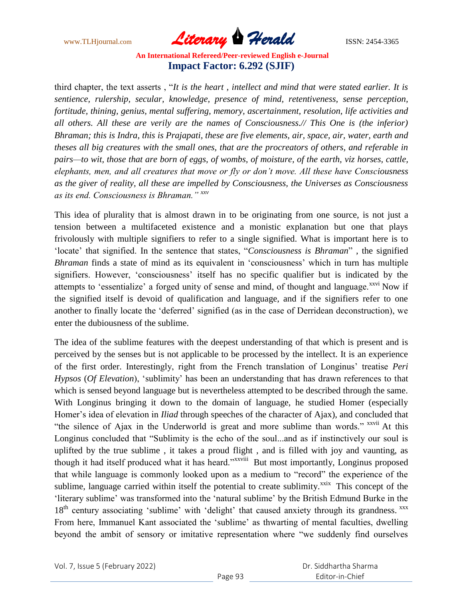www.TLHjournal.com *Literary Herald*ISSN: 2454-3365

third chapter, the text asserts , "*It is the heart , intellect and mind that were stated earlier. It is sentience, rulership, secular, knowledge, presence of mind, retentiveness, sense perception, fortitude, thining, genius, mental suffering, memory, ascertainment, resolution, life activities and all others. All these are verily are the names of Consciousness.// This One is (the inferior) Bhraman; this is Indra, this is Prajapati, these are five elements, air, space, air, water, earth and theses all big creatures with the small ones, that are the procreators of others, and referable in pairs—to wit, those that are born of eggs, of wombs, of moisture, of the earth, viz horses, cattle, elephants, men, and all creatures that move or fly or don't move. All these have Consciousness as the giver of reality, all these are impelled by Consciousness, the Universes as Consciousness as its end. Consciousness is Bhraman.‖ xxv*

This idea of plurality that is almost drawn in to be originating from one source, is not just a tension between a multifaceted existence and a monistic explanation but one that plays frivolously with multiple signifiers to refer to a single signified. What is important here is to "locate" that signified. In the sentence that states, "*Consciousness is Bhraman*" , the signified *Bhraman* finds a state of mind as its equivalent in 'consciousness' which in turn has multiple signifiers. However, 'consciousness' itself has no specific qualifier but is indicated by the attempts to 'essentialize' a forged unity of sense and mind, of thought and language.<sup>xxvi</sup> Now if the signified itself is devoid of qualification and language, and if the signifiers refer to one another to finally locate the "deferred" signified (as in the case of Derridean deconstruction), we enter the dubiousness of the sublime.

The idea of the sublime features with the deepest understanding of that which is present and is perceived by the senses but is not applicable to be processed by the intellect. It is an experience of the first order. Interestingly, right from the French translation of Longinus" treatise *Peri Hypsos* (*Of Elevation*), "sublimity" has been an understanding that has drawn references to that which is sensed beyond language but is nevertheless attempted to be described through the same. With Longinus bringing it down to the domain of language, he studied Homer (especially Homer"s idea of elevation in *Iliad* through speeches of the character of Ajax), and concluded that "the silence of Ajax in the Underworld is great and more sublime than words." xxvii At this Longinus concluded that "Sublimity is the echo of the soul...and as if instinctively our soul is uplifted by the true sublime , it takes a proud flight , and is filled with joy and vaunting, as though it had itself produced what it has heard."<sup>xxviii</sup> But most importantly, Longinus proposed that while language is commonly looked upon as a medium to "record" the experience of the sublime, language carried within itself the potential to create sublimity. $x$ <sup>xxix</sup> This concept of the "literary sublime" was transformed into the "natural sublime" by the British Edmund Burke in the 18<sup>th</sup> century associating 'sublime' with 'delight' that caused anxiety through its grandness. <sup>xxx</sup> From here, Immanuel Kant associated the 'sublime' as thwarting of mental faculties, dwelling beyond the ambit of sensory or imitative representation where "we suddenly find ourselves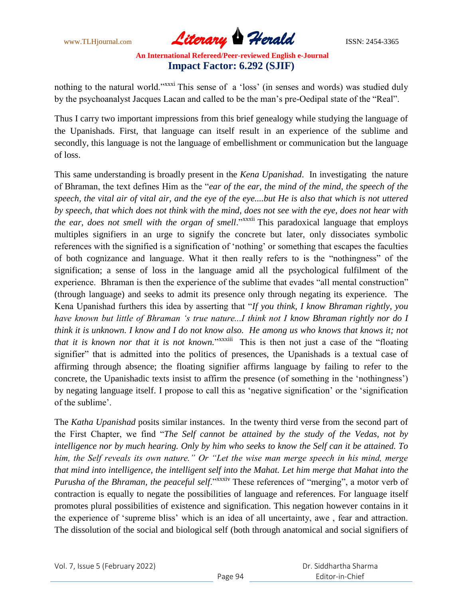www.TLHjournal.com **Literary Herald Herald** ISSN: 2454-3365

nothing to the natural world."<sup>xxxxi</sup> This sense of a 'loss' (in senses and words) was studied duly by the psychoanalyst Jacques Lacan and called to be the man"s pre-Oedipal state of the "Real".

Thus I carry two important impressions from this brief genealogy while studying the language of the Upanishads. First, that language can itself result in an experience of the sublime and secondly, this language is not the language of embellishment or communication but the language of loss.

This same understanding is broadly present in the *Kena Upanishad*. In investigating the nature of Bhraman, the text defines Him as the "*ear of the ear, the mind of the mind, the speech of the speech, the vital air of vital air, and the eye of the eye....but He is also that which is not uttered by speech, that which does not think with the mind, does not see with the eye, does not hear with the ear, does not smell with the organ of smell.*"<sup>xxxxii</sup> This paradoxical language that employs multiples signifiers in an urge to signify the concrete but later, only dissociates symbolic references with the signified is a signification of "nothing" or something that escapes the faculties of both cognizance and language. What it then really refers to is the "nothingness" of the signification; a sense of loss in the language amid all the psychological fulfilment of the experience. Bhraman is then the experience of the sublime that evades "all mental construction" (through language) and seeks to admit its presence only through negating its experience. The Kena Upanishad furthers this idea by asserting that "*If you think, I know Bhraman rightly, you have known but little of Bhraman ‗s true nature...I think not I know Bhraman rightly nor do I think it is unknown. I know and I do not know also. He among us who knows that knows it; not*  that it is known nor that it is not known.<sup>"xxxiii</sup> This is then not just a case of the "floating" signifier" that is admitted into the politics of presences, the Upanishads is a textual case of affirming through absence; the floating signifier affirms language by failing to refer to the concrete, the Upanishadic texts insist to affirm the presence (of something in the "nothingness") by negating language itself. I propose to call this as "negative signification" or the "signification of the sublime'.

The *Katha Upanishad* posits similar instances. In the twenty third verse from the second part of the First Chapter, we find "*The Self cannot be attained by the study of the Vedas, not by intelligence nor by much hearing. Only by him who seeks to know the Self can it be attained. To*  him, the Self reveals its own nature." Or "Let the wise man merge speech in his mind, merge *that mind into intelligence, the intelligent self into the Mahat. Let him merge that Mahat into the Purusha of the Bhraman, the peaceful self.*"<sup>xxxiv</sup> These references of "merging", a motor verb of contraction is equally to negate the possibilities of language and references. For language itself promotes plural possibilities of existence and signification. This negation however contains in it the experience of "supreme bliss" which is an idea of all uncertainty, awe , fear and attraction. The dissolution of the social and biological self (both through anatomical and social signifiers of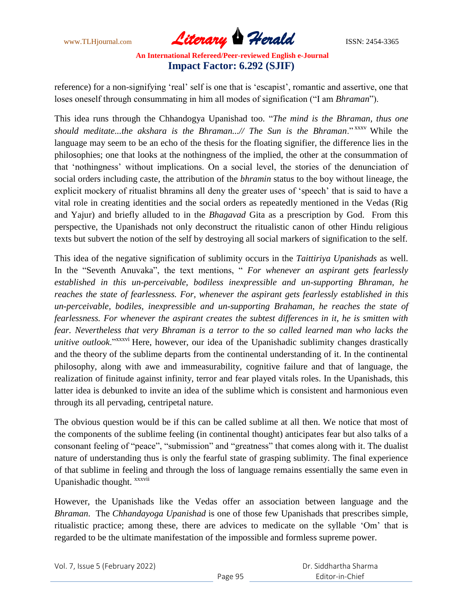www.TLHjournal.com **Literary Herald Herald** ISSN: 2454-3365

reference) for a non-signifying 'real' self is one that is 'escapist', romantic and assertive, one that loses oneself through consummating in him all modes of signification ("I am *Bhraman*").

This idea runs through the Chhandogya Upanishad too. "*The mind is the Bhraman, thus one should meditate...the akshara is the Bhraman...// The Sun is the Bhraman*." xxxv While the language may seem to be an echo of the thesis for the floating signifier, the difference lies in the philosophies; one that looks at the nothingness of the implied, the other at the consummation of that "nothingness" without implications. On a social level, the stories of the denunciation of social orders including caste, the attribution of the *bhramin* status to the boy without lineage, the explicit mockery of ritualist bhramins all deny the greater uses of "speech" that is said to have a vital role in creating identities and the social orders as repeatedly mentioned in the Vedas (Rig and Yajur) and briefly alluded to in the *Bhagavad* Gita as a prescription by God. From this perspective, the Upanishads not only deconstruct the ritualistic canon of other Hindu religious texts but subvert the notion of the self by destroying all social markers of signification to the self.

This idea of the negative signification of sublimity occurs in the *Taittiriya Upanishads* as well. In the "Seventh Anuvaka", the text mentions, " *For whenever an aspirant gets fearlessly established in this un-perceivable, bodiless inexpressible and un-supporting Bhraman, he reaches the state of fearlessness. For, whenever the aspirant gets fearlessly established in this un-perceivable, bodiles, inexpressible and un-supporting Brahaman, he reaches the state of fearlessness. For whenever the aspirant creates the subtest differences in it, he is smitten with fear. Nevertheless that very Bhraman is a terror to the so called learned man who lacks the unitive outlook*."<sup>xxxvi</sup> Here, however, our idea of the Upanishadic sublimity changes drastically and the theory of the sublime departs from the continental understanding of it. In the continental philosophy, along with awe and immeasurability, cognitive failure and that of language, the realization of finitude against infinity, terror and fear played vitals roles. In the Upanishads, this latter idea is debunked to invite an idea of the sublime which is consistent and harmonious even through its all pervading, centripetal nature.

The obvious question would be if this can be called sublime at all then. We notice that most of the components of the sublime feeling (in continental thought) anticipates fear but also talks of a consonant feeling of "peace", "submission" and "greatness" that comes along with it. The dualist nature of understanding thus is only the fearful state of grasping sublimity. The final experience of that sublime in feeling and through the loss of language remains essentially the same even in Upanishadic thought. *xxxvii* 

However, the Upanishads like the Vedas offer an association between language and the *Bhraman*. The *Chhandayoga Upanishad* is one of those few Upanishads that prescribes simple, ritualistic practice; among these, there are advices to medicate on the syllable "Om" that is regarded to be the ultimate manifestation of the impossible and formless supreme power.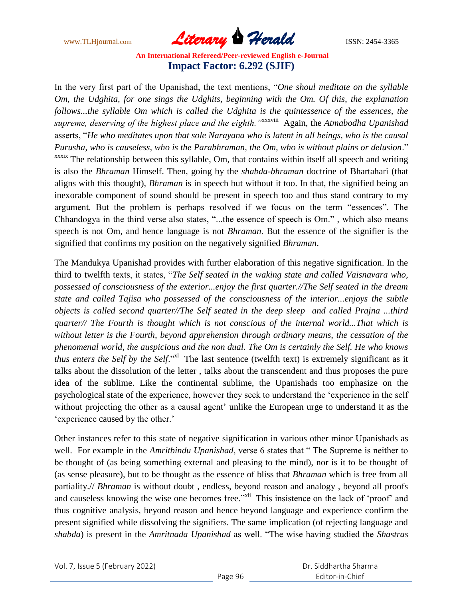www.TLHjournal.com *Literary Herald*ISSN: 2454-3365

In the very first part of the Upanishad, the text mentions, "*One shoul meditate on the syllable Om, the Udghita, for one sings the Udghits, beginning with the Om. Of this, the explanation follows...the syllable Om which is called the Udghita is the quintessence of the essences, the*  supreme, deserving of the highest place and the eighth.<sup>'</sup><sup>xxxxviii</sup> Again, the Atmabodha Upanishad asserts, "*He who meditates upon that sole Narayana who is latent in all beings, who is the causal Purusha, who is causeless, who is the Parabhraman, the Om, who is without plains or delusion*." xxxix The relationship between this syllable, Om, that contains within itself all speech and writing is also the *Bhraman* Himself. Then, going by the *shabda-bhraman* doctrine of Bhartahari (that aligns with this thought), *Bhraman* is in speech but without it too. In that, the signified being an inexorable component of sound should be present in speech too and thus stand contrary to my argument. But the problem is perhaps resolved if we focus on the term "essences". The Chhandogya in the third verse also states, "...the essence of speech is Om." , which also means speech is not Om, and hence language is not *Bhraman*. But the essence of the signifier is the signified that confirms my position on the negatively signified *Bhraman*.

The Mandukya Upanishad provides with further elaboration of this negative signification. In the third to twelfth texts, it states, "*The Self seated in the waking state and called Vaisnavara who, possessed of consciousness of the exterior...enjoy the first quarter.//The Self seated in the dream state and called Tajisa who possessed of the consciousness of the interior...enjoys the subtle objects is called second quarter//The Self seated in the deep sleep and called Prajna ...third quarter// The Fourth is thought which is not conscious of the internal world...That which is without letter is the Fourth, beyond apprehension through ordinary means, the cessation of the phenomenal world, the auspicious and the non dual. The Om is certainly the Self. He who knows thus enters the Self by the Self.*"<sup>X1</sup> The last sentence (twelfth text) is extremely significant as it talks about the dissolution of the letter , talks about the transcendent and thus proposes the pure idea of the sublime. Like the continental sublime, the Upanishads too emphasize on the psychological state of the experience, however they seek to understand the "experience in the self without projecting the other as a causal agent' unlike the European urge to understand it as the 'experience caused by the other.'

Other instances refer to this state of negative signification in various other minor Upanishads as well. For example in the *Amritbindu Upanishad*, verse 6 states that " The Supreme is neither to be thought of (as being something external and pleasing to the mind), nor is it to be thought of (as sense pleasure), but to be thought as the essence of bliss that *Bhraman* which is free from all partiality.// *Bhraman* is without doubt , endless, beyond reason and analogy , beyond all proofs and causeless knowing the wise one becomes free."<sup>xli</sup> This insistence on the lack of 'proof' and thus cognitive analysis, beyond reason and hence beyond language and experience confirm the present signified while dissolving the signifiers. The same implication (of rejecting language and *shabda*) is present in the *Amritnada Upanishad* as well. "The wise having studied the *Shastras*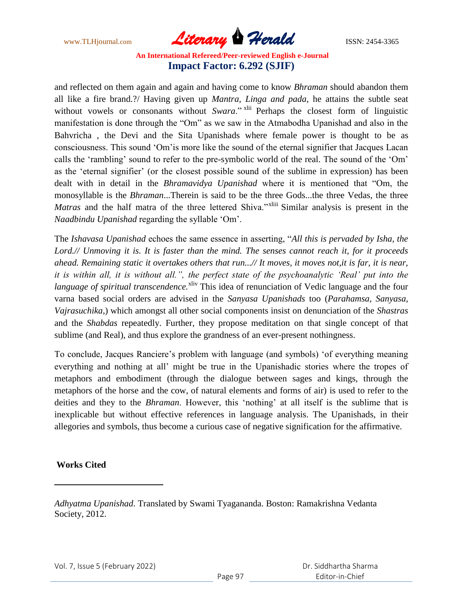www.TLHjournal.com **Literary Herald Herald** ISSN: 2454-3365

and reflected on them again and again and having come to know *Bhraman* should abandon them all like a fire brand.?/ Having given up *Mantra, Linga and pada*, he attains the subtle seat without vowels or consonants without *Swara*." <sup>xlii</sup> Perhaps the closest form of linguistic manifestation is done through the "Om" as we saw in the Atmabodha Upanishad and also in the Bahvricha , the Devi and the Sita Upanishads where female power is thought to be as consciousness. This sound "Om"is more like the sound of the eternal signifier that Jacques Lacan calls the "rambling" sound to refer to the pre-symbolic world of the real. The sound of the "Om" as the "eternal signifier" (or the closest possible sound of the sublime in expression) has been dealt with in detail in the *Bhramavidya Upanishad* where it is mentioned that "Om, the monosyllable is the *Bhraman*...Therein is said to be the three Gods...the three Vedas, the three *Matras* and the half matra of the three lettered Shiva."<sup>xliii</sup> Similar analysis is present in the *Naadbindu Upanishad* regarding the syllable "Om".

The *Ishavasa Upanishad* echoes the same essence in asserting, "*All this is pervaded by Isha, the Lord.// Unmoving it is. It is faster than the mind. The senses cannot reach it, for it proceeds ahead. Remaining static it overtakes others that run...// It moves, it moves not,it is far, it is near, it is within all, it is without all.*", the perfect state of the psychoanalytic 'Real' put into the *language of spiritual transcendence*.<sup>xliv</sup> This idea of renunciation of Vedic language and the four varna based social orders are advised in the *Sanyasa Upanishads* too (*Parahamsa, Sanyasa*, *Vajrasuchika*,) which amongst all other social components insist on denunciation of the *Shastras* and the *Shabdas* repeatedly. Further, they propose meditation on that single concept of that sublime (and Real), and thus explore the grandness of an ever-present nothingness.

To conclude, Jacques Ranciere"s problem with language (and symbols) "of everything meaning everything and nothing at all" might be true in the Upanishadic stories where the tropes of metaphors and embodiment (through the dialogue between sages and kings, through the metaphors of the horse and the cow, of natural elements and forms of air) is used to refer to the deities and they to the *Bhraman*. However, this "nothing" at all itself is the sublime that is inexplicable but without effective references in language analysis. The Upanishads, in their allegories and symbols, thus become a curious case of negative signification for the affirmative.

#### **Works Cited**

 $\overline{a}$ 

*Adhyatma Upanishad*. Translated by Swami Tyagananda. Boston: Ramakrishna Vedanta Society, 2012.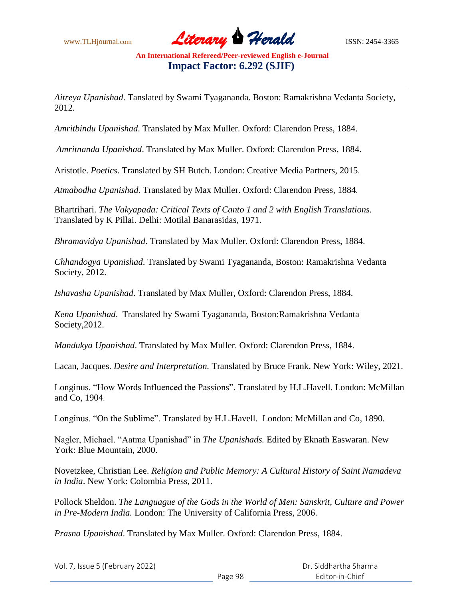$\overline{\phantom{a}}$ 

www.TLHjournal.com **Literary Herald Herald** ISSN: 2454-3365

**An International Refereed/Peer-reviewed English e-Journal Impact Factor: 6.292 (SJIF)**

*Aitreya Upanishad*. Tanslated by Swami Tyagananda. Boston: Ramakrishna Vedanta Society, 2012.

*Amritbindu Upanishad*. Translated by Max Muller. Oxford: Clarendon Press, 1884.

*Amritnanda Upanishad*. Translated by Max Muller. Oxford: Clarendon Press, 1884.

Aristotle. *Poetics*. Translated by SH Butch. London: Creative Media Partners, 2015.

*Atmabodha Upanishad*. Translated by Max Muller. Oxford: Clarendon Press, 1884.

Bhartrihari. *The Vakyapada: Critical Texts of Canto 1 and 2 with English Translations.*  Translated by K Pillai. Delhi: Motilal Banarasidas, 1971.

*Bhramavidya Upanishad*. Translated by Max Muller. Oxford: Clarendon Press, 1884.

*Chhandogya Upanishad*. Translated by Swami Tyagananda, Boston: Ramakrishna Vedanta Society, 2012.

*Ishavasha Upanishad*. Translated by Max Muller, Oxford: Clarendon Press, 1884.

*Kena Upanishad*. Translated by Swami Tyagananda, Boston:Ramakrishna Vedanta Society,2012.

*Mandukya Upanishad*. Translated by Max Muller. Oxford: Clarendon Press, 1884.

Lacan, Jacques. *Desire and Interpretation.* Translated by Bruce Frank. New York: Wiley, 2021.

Longinus. "How Words Influenced the Passions". Translated by H.L.Havell. London: McMillan and Co, 1904.

Longinus. "On the Sublime". Translated by H.L.Havell. London: McMillan and Co, 1890.

Nagler, Michael. "Aatma Upanishad" in *The Upanishads.* Edited by Eknath Easwaran. New York: Blue Mountain, 2000.

Novetzkee, Christian Lee. *Religion and Public Memory: A Cultural History of Saint Namadeva in India*. New York: Colombia Press, 2011.

Pollock Sheldon. *The Languague of the Gods in the World of Men: Sanskrit, Culture and Power in Pre-Modern India.* London: The University of California Press, 2006.

*Prasna Upanishad*. Translated by Max Muller. Oxford: Clarendon Press, 1884.

| Vol. 7, Issue 5 (February 2022) |         | Dr. Siddhartha Sharma |
|---------------------------------|---------|-----------------------|
|                                 | Page 98 | Editor-in-Chief       |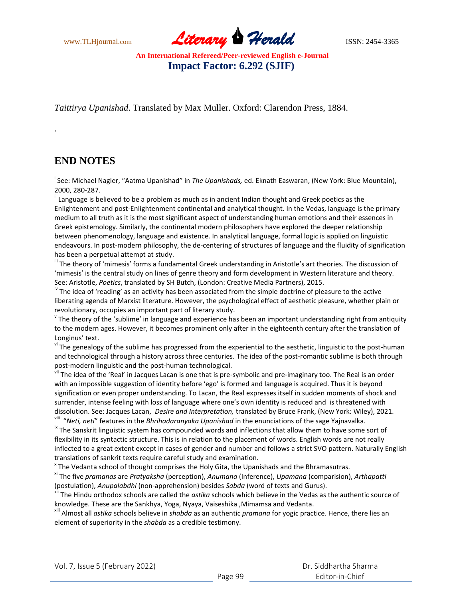www.TLHjournal.com **Literary Herald Herald** ISSN: 2454-3365

*Taittirya Upanishad*. Translated by Max Muller. Oxford: Clarendon Press, 1884.

# **END NOTES**

 $\overline{\phantom{a}}$ 

.

i See: Michael Nagler, "Aatma Upanishad" in *The Upanishads,* ed. Eknath Easwaran, (New York: Blue Mountain), 2000, 280-287.

 $"$  Language is believed to be a problem as much as in ancient Indian thought and Greek poetics as the Enlightenment and post-Enlightenment continental and analytical thought. In the Vedas, language is the primary medium to all truth as it is the most significant aspect of understanding human emotions and their essences in Greek epistemology. Similarly, the continental modern philosophers have explored the deeper relationship between phenomenology, language and existence. In analytical language, formal logic is applied on linguistic endeavours. In post-modern philosophy, the de-centering of structures of language and the fluidity of signification has been a perpetual attempt at study.

iii The theory of 'mimesis' forms a fundamental Greek understanding in Aristotle's art theories. The discussion of 'mimesis' is the central study on lines of genre theory and form development in Western literature and theory. See: Aristotle, *Poetics*, translated by SH Butch, (London: Creative Media Partners), 2015.

<sup>iv</sup> The idea of 'reading' as an activity has been associated from the simple doctrine of pleasure to the active liberating agenda of Marxist literature. However, the psychological effect of aesthetic pleasure, whether plain or revolutionary, occupies an important part of literary study.

v The theory of the 'sublime' in language and experience has been an important understanding right from antiquity to the modern ages. However, it becomes prominent only after in the eighteenth century after the translation of Longinus' text.

<sup>vi</sup> The genealogy of the sublime has progressed from the experiential to the aesthetic, linguistic to the post-human and technological through a history across three centuries. The idea of the post-romantic sublime is both through post-modern linguistic and the post-human technological.

v<sup>ii</sup> The idea of the 'Real' in Jacques Lacan is one that is pre-symbolic and pre-imaginary too. The Real is an order with an impossible suggestion of identity before 'ego' is formed and language is acquired. Thus it is beyond signification or even proper understanding. To Lacan, the Real expresses itself in sudden moments of shock and surrender, intense feeling with loss of language where one's own identity is reduced and is threatened with dissolution. See: Jacques Lacan, *Desire and Interpretation,* translated by Bruce Frank, (New York: Wiley), 2021. viii "*Neti, neti*" features in the *Bhrihadaranyaka Upanishad* in the enunciations of the sage Yajnavalka.

<sup>ix</sup> The Sanskrit linguistic system has compounded words and inflections that allow them to have some sort of flexibility in its syntactic structure. This is in relation to the placement of words. English words are not really inflected to a great extent except in cases of gender and number and follows a strict SVO pattern. Naturally English translations of sankrit texts require careful study and examination.

 $^{\texttt{x}}$  The Vedanta school of thought comprises the Holy Gita, the Upanishads and the Bhramasutras.

xi The five *pramanas* are *Pratyaksha* (perception), *Anumana* (Inference), *Upamana* (comparision), *Arthapatti*  (postulation), *Anupalabdhi* (non-apprehension) besides *Sabda* (word of texts and Gurus).

xii The Hindu orthodox schools are called the *astika* schools which believe in the Vedas as the authentic source of knowledge. These are the Sankhya, Yoga, Nyaya, Vaiseshika ,Mimamsa and Vedanta.

xiii Almost all *astika* schools believe in *shabda* as an authentic *pramana* for yogic practice. Hence, there lies an element of superiority in the *shabda* as a credible testimony.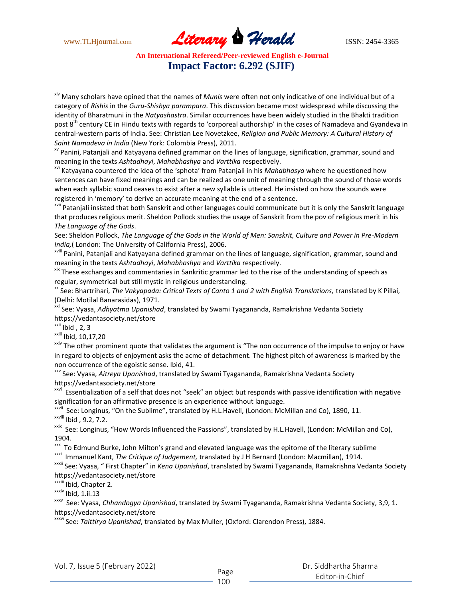$\overline{\phantom{a}}$ 

www.TLHjournal.com **Literary Herald Herald** ISSN: 2454-3365

#### **An International Refereed/Peer-reviewed English e-Journal Impact Factor: 6.292 (SJIF)**

xiv Many scholars have opined that the names of *Munis* were often not only indicative of one individual but of a category of *Rishis* in the *Guru-Shishya parampara*. This discussion became most widespread while discussing the identity of Bharatmuni in the *Natyashastra*. Similar occurrences have been widely studied in the Bhakti tradition post 8<sup>th</sup> century CE in Hindu texts with regards to 'corporeal authorship' in the cases of Namadeva and Gyandeva in central-western parts of India. See: Christian Lee Novetzkee, *Religion and Public Memory: A Cultural History of Saint Namadeva in India* (New York: Colombia Press), 2011.

xv Panini, Patanjali and Katyayana defined grammar on the lines of language, signification, grammar, sound and meaning in the texts *Ashtadhayi*, *Mahabhashya* and *Varttika* respectively.

xvi Katyayana countered the idea of the 'sphota' from Patanjali in his *Mahabhasya* where he questioned how sentences can have fixed meanings and can be realized as one unit of meaning through the sound of those words when each syllabic sound ceases to exist after a new syllable is uttered. He insisted on how the sounds were registered in 'memory' to derive an accurate meaning at the end of a sentence.

<sup>xvii</sup> Patanjali insisted that both Sanskrit and other languages could communicate but it is only the Sanskrit language that produces religious merit. Sheldon Pollock studies the usage of Sanskrit from the pov of religious merit in his *The Language of the Gods*.

See: Sheldon Pollock, *The Language of the Gods in the World of Men: Sanskrit, Culture and Power in Pre-Modern India,*( London: The University of California Press), 2006.

xviii Panini, Patanjali and Katyayana defined grammar on the lines of language, signification, grammar, sound and meaning in the texts *Ashtadhayi*, *Mahabhashya* and *Varttika* respectively.

xix These exchanges and commentaries in Sankritic grammar led to the rise of the understanding of speech as regular, symmetrical but still mystic in religious understanding.

<sup>xx</sup> See: Bhartrihari, *The Vakyapada: Critical Texts of Canto 1 and 2 with English Translations, translated by K Pillai,* (Delhi: Motilal Banarasidas), 1971.

xxi See: Vyasa, *Adhyatma Upanishad*, translated by Swami Tyagananda, Ramakrishna Vedanta Society https://vedantasociety.net/store

 $xxi$ ii Ibid, 2, 3

 $x$ <sup>xxiii</sup> Ibid, 10,17,20

<sup>xxiv</sup> The other prominent quote that validates the argument is "The non occurrence of the impulse to enjoy or have in regard to objects of enjoyment asks the acme of detachment. The highest pitch of awareness is marked by the non occurrence of the egoistic sense. Ibid, 41.

xxv See: Vyasa, *Aitreya Upanishad*, translated by Swami Tyagananda, Ramakrishna Vedanta Society https://vedantasociety.net/store

xxvi Essentialization of a self that does not "seek" an object but responds with passive identification with negative signification for an affirmative presence is an experience without language.

<sup>xxvii</sup> See: Longinus, "On the Sublime", translated by H.L.Havell, (London: McMillan and Co), 1890, 11.

xxviii Ibid , 9.2, 7.2.

<sup>xxix</sup> See: Longinus, "How Words Influenced the Passions", translated by H.L.Havell, (London: McMillan and Co), 1904.

xxx To Edmund Burke, John Milton's grand and elevated language was the epitome of the literary sublime

xxxi Immanuel Kant, *The Critique of Judgement,* translated by J H Bernard (London: Macmillan), 1914.

xxxii See: Vyasa, " First Chapter" in *Kena Upanishad*, translated by Swami Tyagananda, Ramakrishna Vedanta Society https://vedantasociety.net/store

xxxiii Ibid, Chapter 2.

xxxiv Ibid, 1.ii.13

<sup>xxxv</sup> See: Vyasa, *Chhandogya Upanishad*, translated by Swami Tyagananda, Ramakrishna Vedanta Society, 3,9, 1. https://vedantasociety.net/store

xxxvi See: *Taittirya Upanishad*, translated by Max Muller, (Oxford: Clarendon Press), 1884.

Page

#### Dr. Siddhartha Sharma Editor-in-Chief

100